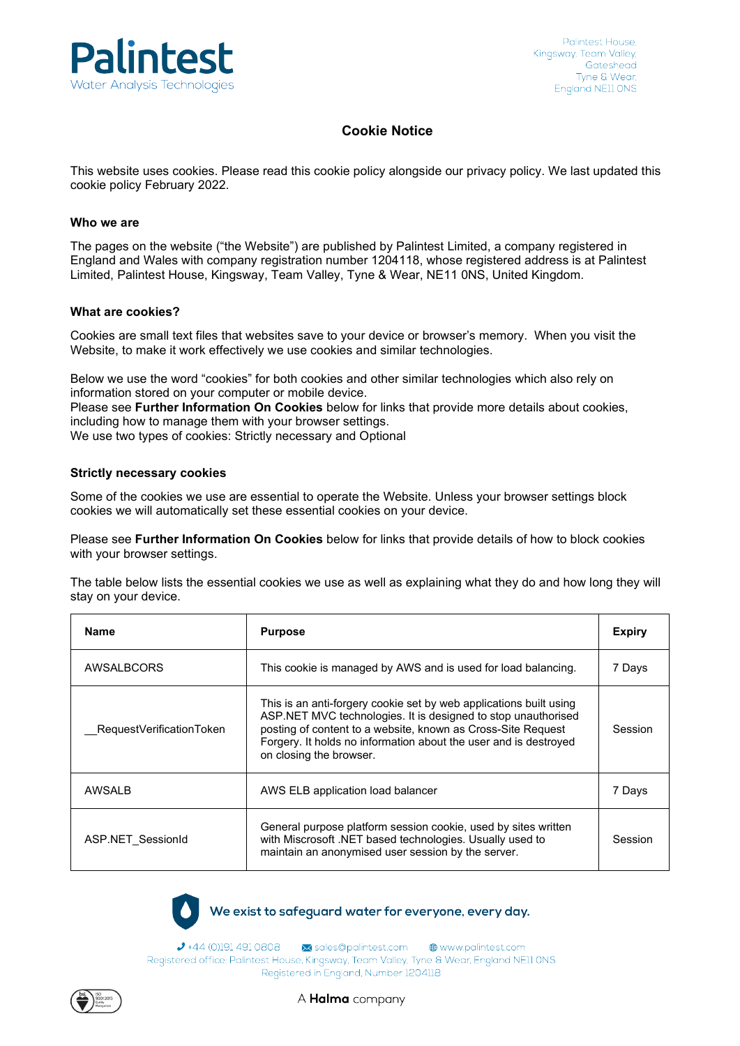

### **Cookie Notice**

This website uses cookies. Please read this cookie policy alongside our [privacy](https://www.halma.com/site-services/data-privacy) policy. We last updated this cookie policy February 2022.

#### **Who we are**

The pages on the website ("the Website") are published by Palintest Limited, a company registered in England and Wales with company registration number 1204118, whose registered address is at Palintest Limited, Palintest House, Kingsway, Team Valley, Tyne & Wear, NE11 0NS, United Kingdom.

#### **What are cookies?**

Cookies are small text files that websites save to your device or browser's memory. When you visit the Website, to make it work effectively we use cookies and similar technologies.

Below we use the word "cookies" for both cookies and other similar technologies which also rely on information stored on your computer or mobile device.

Please see **Further Information On Cookies** below for links that provide more details about cookies, including how to manage them with your browser settings.

We use two types of cookies: Strictly necessary and Optional

#### **Strictly necessary cookies**

Some of the cookies we use are essential to operate the Website. Unless your browser settings block cookies we will automatically set these essential cookies on your device.

Please see **Further Information On Cookies** below for links that provide details of how to block cookies with your browser settings.

The table below lists the essential cookies we use as well as explaining what they do and how long they will stay on your device.

| <b>Name</b>              | <b>Purpose</b>                                                                                                                                                                                                                                                                                     | <b>Expiry</b> |
|--------------------------|----------------------------------------------------------------------------------------------------------------------------------------------------------------------------------------------------------------------------------------------------------------------------------------------------|---------------|
| AWSALBCORS               | This cookie is managed by AWS and is used for load balancing.                                                                                                                                                                                                                                      | 7 Days        |
| RequestVerificationToken | This is an anti-forgery cookie set by web applications built using<br>ASP.NET MVC technologies. It is designed to stop unauthorised<br>posting of content to a website, known as Cross-Site Request<br>Forgery. It holds no information about the user and is destroyed<br>on closing the browser. | Session       |
| AWSALB                   | AWS ELB application load balancer                                                                                                                                                                                                                                                                  | 7 Days        |
| ASP.NET SessionId        | General purpose platform session cookie, used by sites written<br>with Miscrosoft .NET based technologies. Usually used to<br>maintain an anonymised user session by the server.                                                                                                                   | Session       |

We exist to safeguard water for everyone, every day.

→ +44 (0)191 491 0808 <br>
M sales@palintest.com 
● www.palintest.com Registered office: Palintest House, Kingsway, Team Valley, Tyne & Wear, England NE11 ONS Registered in England, Number 1204118



A **Halma** company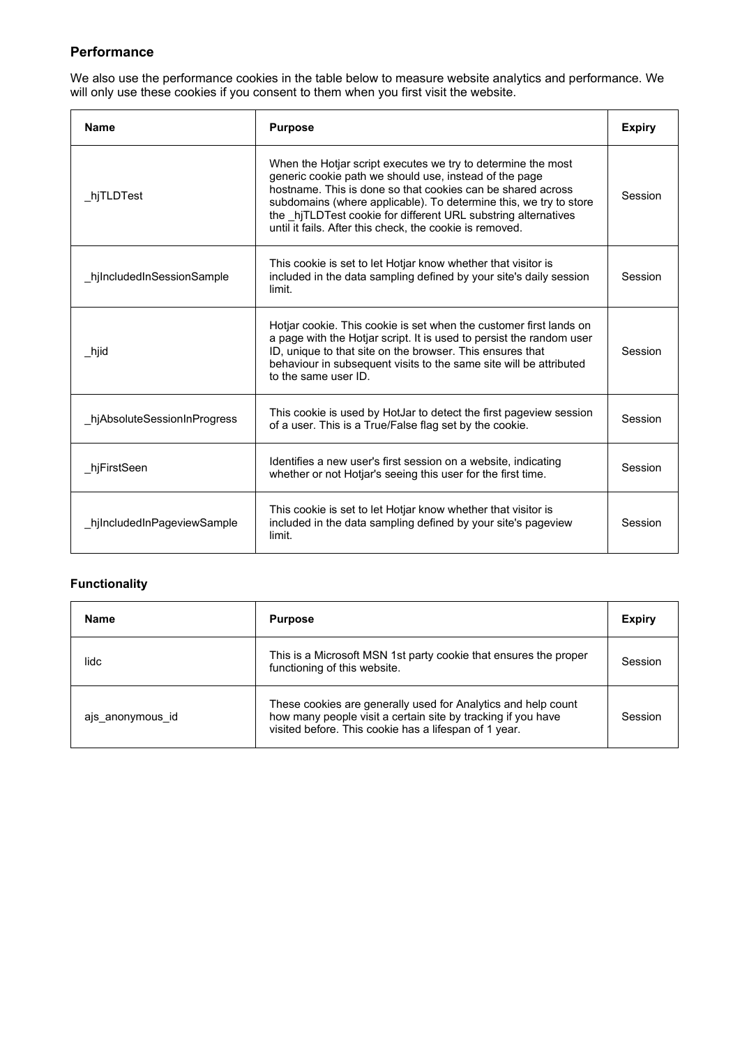# **Performance**

We also use the performance cookies in the table below to measure website analytics and performance. We will only use these cookies if you consent to them when you first visit the website.

| <b>Name</b>                 | <b>Purpose</b>                                                                                                                                                                                                                                                                                                                                                                          | <b>Expiry</b> |
|-----------------------------|-----------------------------------------------------------------------------------------------------------------------------------------------------------------------------------------------------------------------------------------------------------------------------------------------------------------------------------------------------------------------------------------|---------------|
| hjTLDTest                   | When the Hotjar script executes we try to determine the most<br>generic cookie path we should use, instead of the page<br>hostname. This is done so that cookies can be shared across<br>subdomains (where applicable). To determine this, we try to store<br>the hiTLDTest cookie for different URL substring alternatives<br>until it fails. After this check, the cookie is removed. | Session       |
| hjIncludedInSessionSample   | This cookie is set to let Hotjar know whether that visitor is<br>included in the data sampling defined by your site's daily session<br>limit.                                                                                                                                                                                                                                           | Session       |
| hjid                        | Hotjar cookie. This cookie is set when the customer first lands on<br>a page with the Hotjar script. It is used to persist the random user<br>ID, unique to that site on the browser. This ensures that<br>behaviour in subsequent visits to the same site will be attributed<br>to the same user ID.                                                                                   | Session       |
| hjAbsoluteSessionInProgress | This cookie is used by HotJar to detect the first pageview session<br>of a user. This is a True/False flag set by the cookie.                                                                                                                                                                                                                                                           | Session       |
| hjFirstSeen                 | Identifies a new user's first session on a website, indicating<br>whether or not Hotjar's seeing this user for the first time.                                                                                                                                                                                                                                                          | Session       |
| hjIncludedInPageviewSample  | This cookie is set to let Hotjar know whether that visitor is<br>included in the data sampling defined by your site's pageview<br>limit.                                                                                                                                                                                                                                                | Session       |

# **Functionality**

| <b>Name</b>      | <b>Purpose</b>                                                                                                                                                                         | <b>Expiry</b> |
|------------------|----------------------------------------------------------------------------------------------------------------------------------------------------------------------------------------|---------------|
| lidc             | This is a Microsoft MSN 1st party cookie that ensures the proper<br>functioning of this website.                                                                                       | Session       |
| ajs anonymous id | These cookies are generally used for Analytics and help count<br>how many people visit a certain site by tracking if you have<br>visited before. This cookie has a lifespan of 1 year. | Session       |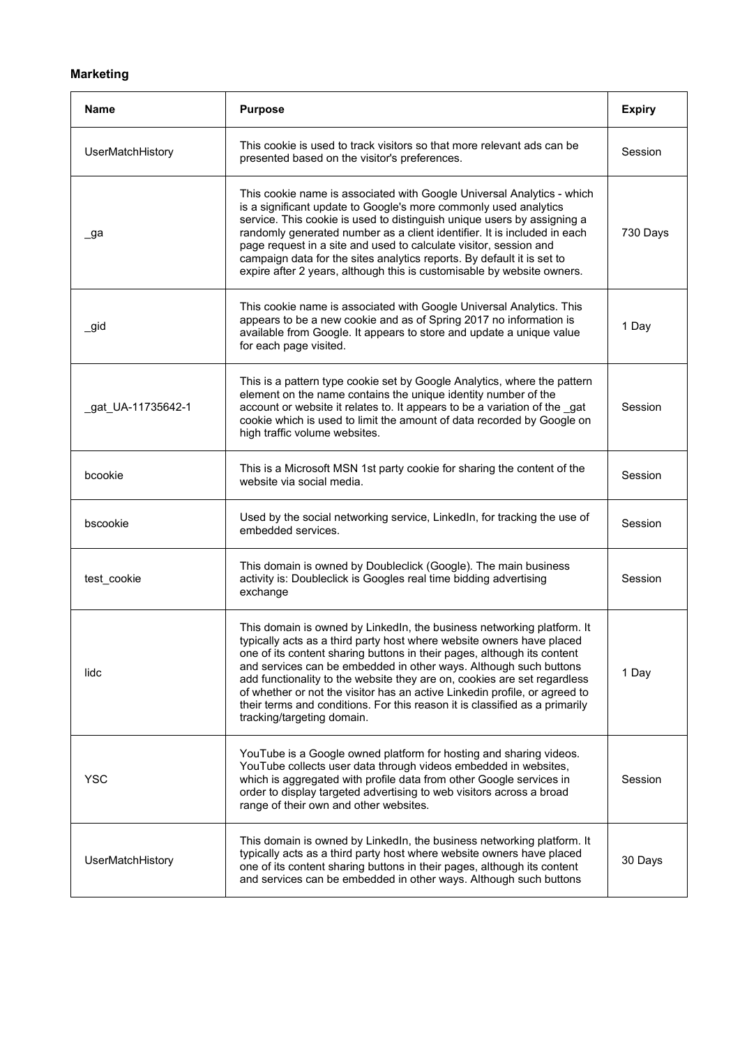## **Marketing**

| Name               | <b>Purpose</b>                                                                                                                                                                                                                                                                                                                                                                                                                                                                                                                                                         | <b>Expiry</b> |
|--------------------|------------------------------------------------------------------------------------------------------------------------------------------------------------------------------------------------------------------------------------------------------------------------------------------------------------------------------------------------------------------------------------------------------------------------------------------------------------------------------------------------------------------------------------------------------------------------|---------------|
| UserMatchHistory   | This cookie is used to track visitors so that more relevant ads can be<br>presented based on the visitor's preferences.                                                                                                                                                                                                                                                                                                                                                                                                                                                | Session       |
| _ga                | This cookie name is associated with Google Universal Analytics - which<br>is a significant update to Google's more commonly used analytics<br>service. This cookie is used to distinguish unique users by assigning a<br>randomly generated number as a client identifier. It is included in each<br>page request in a site and used to calculate visitor, session and<br>campaign data for the sites analytics reports. By default it is set to<br>expire after 2 years, although this is customisable by website owners.                                             | 730 Days      |
| _gid               | This cookie name is associated with Google Universal Analytics. This<br>appears to be a new cookie and as of Spring 2017 no information is<br>available from Google. It appears to store and update a unique value<br>for each page visited.                                                                                                                                                                                                                                                                                                                           | 1 Day         |
| _gat_UA-11735642-1 | This is a pattern type cookie set by Google Analytics, where the pattern<br>element on the name contains the unique identity number of the<br>account or website it relates to. It appears to be a variation of the gat<br>cookie which is used to limit the amount of data recorded by Google on<br>high traffic volume websites.                                                                                                                                                                                                                                     | Session       |
| bcookie            | This is a Microsoft MSN 1st party cookie for sharing the content of the<br>website via social media.                                                                                                                                                                                                                                                                                                                                                                                                                                                                   | Session       |
| bscookie           | Used by the social networking service, LinkedIn, for tracking the use of<br>embedded services.                                                                                                                                                                                                                                                                                                                                                                                                                                                                         | Session       |
| test cookie        | This domain is owned by Doubleclick (Google). The main business<br>activity is: Doubleclick is Googles real time bidding advertising<br>exchange                                                                                                                                                                                                                                                                                                                                                                                                                       | Session       |
| lidc               | This domain is owned by LinkedIn, the business networking platform. It<br>typically acts as a third party host where website owners have placed<br>one of its content sharing buttons in their pages, although its content<br>and services can be embedded in other ways. Although such buttons<br>add functionality to the website they are on, cookies are set regardless<br>of whether or not the visitor has an active Linkedin profile, or agreed to<br>their terms and conditions. For this reason it is classified as a primarily<br>tracking/targeting domain. | 1 Day         |
| <b>YSC</b>         | YouTube is a Google owned platform for hosting and sharing videos.<br>YouTube collects user data through videos embedded in websites,<br>which is aggregated with profile data from other Google services in<br>order to display targeted advertising to web visitors across a broad<br>range of their own and other websites.                                                                                                                                                                                                                                         | Session       |
| UserMatchHistory   | This domain is owned by LinkedIn, the business networking platform. It<br>typically acts as a third party host where website owners have placed<br>one of its content sharing buttons in their pages, although its content<br>and services can be embedded in other ways. Although such buttons                                                                                                                                                                                                                                                                        | 30 Days       |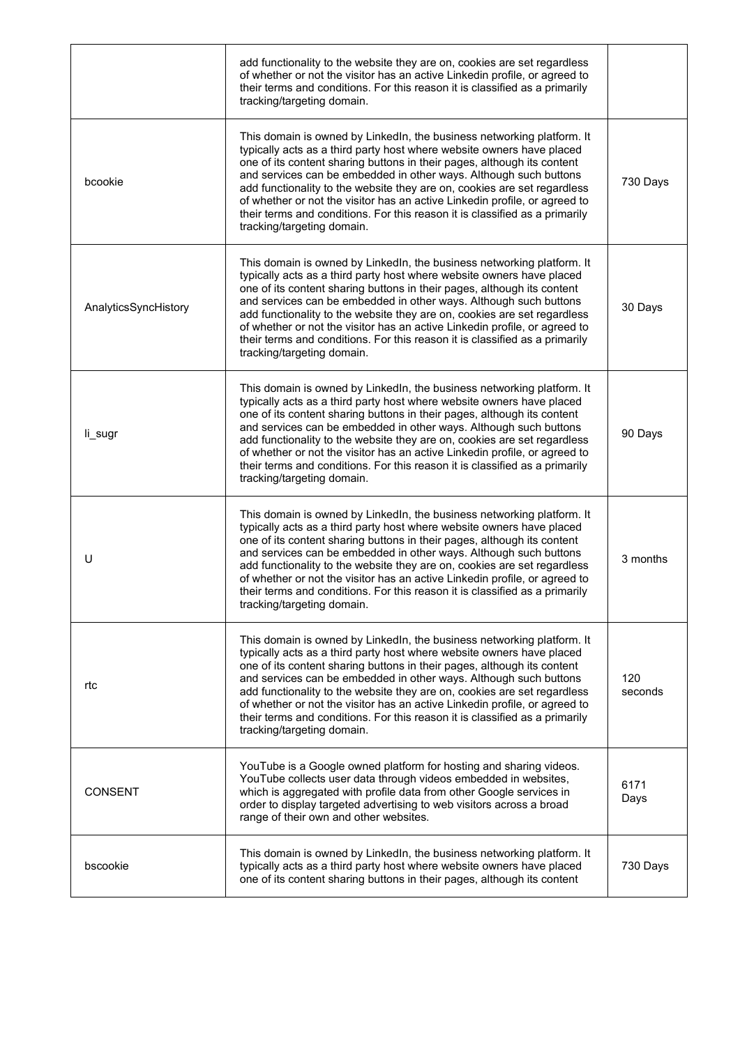|                      | add functionality to the website they are on, cookies are set regardless<br>of whether or not the visitor has an active Linkedin profile, or agreed to<br>their terms and conditions. For this reason it is classified as a primarily<br>tracking/targeting domain.                                                                                                                                                                                                                                                                                                    |                |
|----------------------|------------------------------------------------------------------------------------------------------------------------------------------------------------------------------------------------------------------------------------------------------------------------------------------------------------------------------------------------------------------------------------------------------------------------------------------------------------------------------------------------------------------------------------------------------------------------|----------------|
| bcookie              | This domain is owned by LinkedIn, the business networking platform. It<br>typically acts as a third party host where website owners have placed<br>one of its content sharing buttons in their pages, although its content<br>and services can be embedded in other ways. Although such buttons<br>add functionality to the website they are on, cookies are set regardless<br>of whether or not the visitor has an active Linkedin profile, or agreed to<br>their terms and conditions. For this reason it is classified as a primarily<br>tracking/targeting domain. | 730 Days       |
| AnalyticsSyncHistory | This domain is owned by LinkedIn, the business networking platform. It<br>typically acts as a third party host where website owners have placed<br>one of its content sharing buttons in their pages, although its content<br>and services can be embedded in other ways. Although such buttons<br>add functionality to the website they are on, cookies are set regardless<br>of whether or not the visitor has an active Linkedin profile, or agreed to<br>their terms and conditions. For this reason it is classified as a primarily<br>tracking/targeting domain. | 30 Days        |
| li_sugr              | This domain is owned by LinkedIn, the business networking platform. It<br>typically acts as a third party host where website owners have placed<br>one of its content sharing buttons in their pages, although its content<br>and services can be embedded in other ways. Although such buttons<br>add functionality to the website they are on, cookies are set regardless<br>of whether or not the visitor has an active Linkedin profile, or agreed to<br>their terms and conditions. For this reason it is classified as a primarily<br>tracking/targeting domain. | 90 Days        |
| U                    | This domain is owned by LinkedIn, the business networking platform. It<br>typically acts as a third party host where website owners have placed<br>one of its content sharing buttons in their pages, although its content<br>and services can be embedded in other ways. Although such buttons<br>add functionality to the website they are on, cookies are set regardless<br>of whether or not the visitor has an active Linkedin profile, or agreed to<br>their terms and conditions. For this reason it is classified as a primarily<br>tracking/targeting domain. | 3 months       |
| rtc                  | This domain is owned by LinkedIn, the business networking platform. It<br>typically acts as a third party host where website owners have placed<br>one of its content sharing buttons in their pages, although its content<br>and services can be embedded in other ways. Although such buttons<br>add functionality to the website they are on, cookies are set regardless<br>of whether or not the visitor has an active Linkedin profile, or agreed to<br>their terms and conditions. For this reason it is classified as a primarily<br>tracking/targeting domain. | 120<br>seconds |
| <b>CONSENT</b>       | YouTube is a Google owned platform for hosting and sharing videos.<br>YouTube collects user data through videos embedded in websites,<br>which is aggregated with profile data from other Google services in<br>order to display targeted advertising to web visitors across a broad<br>range of their own and other websites.                                                                                                                                                                                                                                         | 6171<br>Days   |
| bscookie             | This domain is owned by LinkedIn, the business networking platform. It<br>typically acts as a third party host where website owners have placed<br>one of its content sharing buttons in their pages, although its content                                                                                                                                                                                                                                                                                                                                             | 730 Days       |